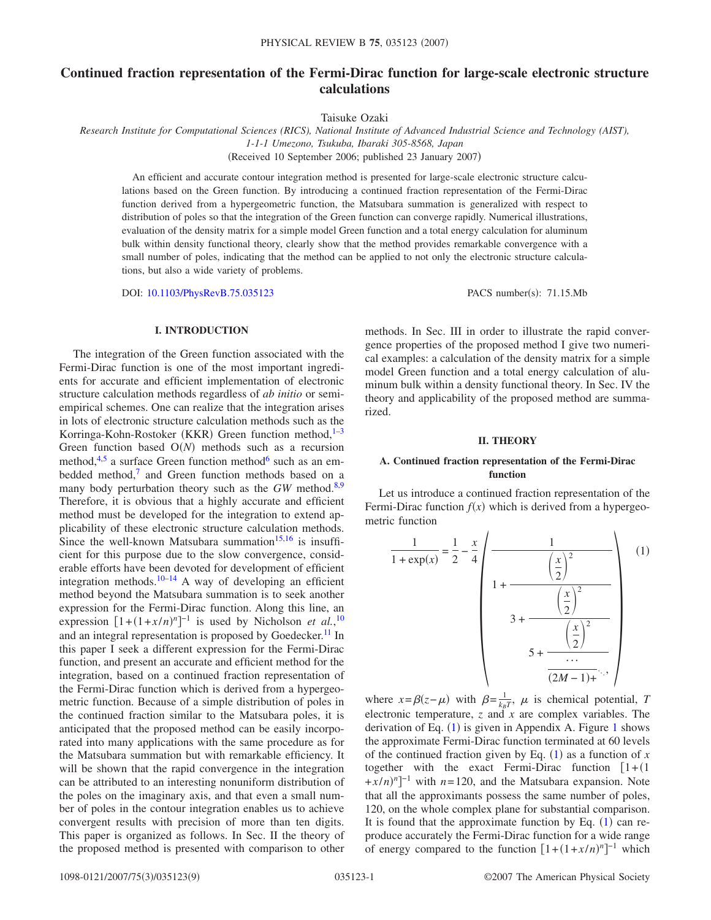# **Continued fraction representation of the Fermi-Dirac function for large-scale electronic structure calculations**

Taisuke Ozaki

*Research Institute for Computational Sciences (RICS), National Institute of Advanced Industrial Science and Technology (AIST), 1-1-1 Umezono, Tsukuba, Ibaraki 305-8568, Japan* (Received 10 September 2006; published 23 January 2007)

An efficient and accurate contour integration method is presented for large-scale electronic structure calculations based on the Green function. By introducing a continued fraction representation of the Fermi-Dirac function derived from a hypergeometric function, the Matsubara summation is generalized with respect to distribution of poles so that the integration of the Green function can converge rapidly. Numerical illustrations, evaluation of the density matrix for a simple model Green function and a total energy calculation for aluminum bulk within density functional theory, clearly show that the method provides remarkable convergence with a small number of poles, indicating that the method can be applied to not only the electronic structure calculations, but also a wide variety of problems.

DOI: [10.1103/PhysRevB.75.035123](http://dx.doi.org/10.1103/PhysRevB.75.035123)

#### **I. INTRODUCTION**

The integration of the Green function associated with the Fermi-Dirac function is one of the most important ingredients for accurate and efficient implementation of electronic structure calculation methods regardless of *ab initio* or semiempirical schemes. One can realize that the integration arises in lots of electronic structure calculation methods such as the Korringa-Kohn-Rostoker (KKR) Green function method,<sup>1-[3](#page-7-1)</sup> Green function based  $O(N)$  methods such as a recursion method, $4.5$  $4.5$  a surface Green function method<sup>6</sup> such as an embedded method, $<sup>7</sup>$  and Green function methods based on a</sup> many body perturbation theory such as the *GW* method.<sup>8[,9](#page-7-7)</sup> Therefore, it is obvious that a highly accurate and efficient method must be developed for the integration to extend applicability of these electronic structure calculation methods. Since the well-known Matsubara summation $15,16$  $15,16$  is insufficient for this purpose due to the slow convergence, considerable efforts have been devoted for development of efficient integration methods.<sup>10[–14](#page-7-11)</sup> A way of developing an efficient method beyond the Matsubara summation is to seek another expression for the Fermi-Dirac function. Along this line, an expression  $[1+(1+x/n)^n]^{-1}$  is used by Nicholson *et al.*,<sup>[10](#page-7-10)</sup> and an integral representation is proposed by Goedecker.<sup>11</sup> In this paper I seek a different expression for the Fermi-Dirac function, and present an accurate and efficient method for the integration, based on a continued fraction representation of the Fermi-Dirac function which is derived from a hypergeometric function. Because of a simple distribution of poles in the continued fraction similar to the Matsubara poles, it is anticipated that the proposed method can be easily incorporated into many applications with the same procedure as for the Matsubara summation but with remarkable efficiency. It will be shown that the rapid convergence in the integration can be attributed to an interesting nonuniform distribution of the poles on the imaginary axis, and that even a small number of poles in the contour integration enables us to achieve convergent results with precision of more than ten digits. This paper is organized as follows. In Sec. II the theory of the proposed method is presented with comparison to other PACS number(s): 71.15.Mb

methods. In Sec. III in order to illustrate the rapid convergence properties of the proposed method I give two numerical examples: a calculation of the density matrix for a simple model Green function and a total energy calculation of aluminum bulk within a density functional theory. In Sec. IV the theory and applicability of the proposed method are summarized.

#### **II. THEORY**

## **A. Continued fraction representation of the Fermi-Dirac function**

Let us introduce a continued fraction representation of the Fermi-Dirac function  $f(x)$  which is derived from a hypergeometric function

<span id="page-0-0"></span>
$$
\frac{1}{1 + \exp(x)} = \frac{1}{2} - \frac{x}{4} \left( \frac{1}{\left(\frac{x}{2}\right)^2} \right) \left( 1 \right)
$$
\n
$$
3 + \frac{\left(\frac{x}{2}\right)^2}{5 + \frac{\left(\frac{x}{2}\right)^2}{\cdots}} \left( \frac{2x}{2} \right) \left( \frac{2x}{2} \right) \left( \frac{2x}{2} \right) \left( \frac{2x}{2} \right) \left( \frac{2x}{2} \right) \left( \frac{2x}{2} \right) \left( \frac{2x}{2} \right) \left( \frac{2x}{2} \right) \left( \frac{2x}{2} \right) \left( \frac{2x}{2} \right) \left( \frac{2x}{2} \right) \left( \frac{2x}{2} \right) \left( \frac{2x}{2} \right) \left( \frac{2x}{2} \right) \left( \frac{2x}{2} \right) \left( \frac{2x}{2} \right) \left( \frac{2x}{2} \right) \left( \frac{2x}{2} \right) \left( \frac{2x}{2} \right) \left( \frac{2x}{2} \right) \left( \frac{2x}{2} \right) \left( \frac{2x}{2} \right) \left( \frac{2x}{2} \right) \left( \frac{2x}{2} \right) \left( \frac{2x}{2} \right) \left( \frac{2x}{2} \right) \left( \frac{2x}{2} \right) \left( \frac{2x}{2} \right) \left( \frac{2x}{2} \right) \left( \frac{2x}{2} \right) \left( \frac{2x}{2} \right) \left( \frac{2x}{2} \right) \left( \frac{2x}{2} \right) \left( \frac{2x}{2} \right) \left( \frac{2x}{2} \right) \left( \frac{2x}{2} \right) \left( \frac{2x}{2} \right) \left( \frac{2x}{2} \right) \left( \frac{2x}{2} \right) \left( \frac{2x}{2} \right) \left( \frac{2x}{2} \right) \left( \frac{2x}{2} \right) \left( \frac{2x}{2} \right) \left( \frac{2x}{2} \right) \left( \frac{2x}{2} \right) \left( \frac{2x}{2} \right) \left( \frac{2x}{2} \right)
$$

where  $x = \beta(z - \mu)$  with  $\beta = \frac{1}{k_B T}$ ,  $\mu$  is chemical potential, *T* electronic temperature,  $\zeta$  and  $\chi$  are complex variables. The derivation of Eq.  $(1)$  $(1)$  $(1)$  is given in Appendix A. Figure 1 shows the approximate Fermi-Dirac function terminated at 60 levels of the continued fraction given by Eq.  $(1)$  $(1)$  $(1)$  as a function of *x* together with the exact Fermi-Dirac function  $[1+(1$  $+x/n$ <sup>n</sup>]<sup>-1</sup> with *n*=120, and the Matsubara expansion. Note that all the approximants possess the same number of poles, 120, on the whole complex plane for substantial comparison. It is found that the approximate function by Eq.  $(1)$  $(1)$  $(1)$  can reproduce accurately the Fermi-Dirac function for a wide range of energy compared to the function  $[1+(1+x/n)^n]^{-1}$  which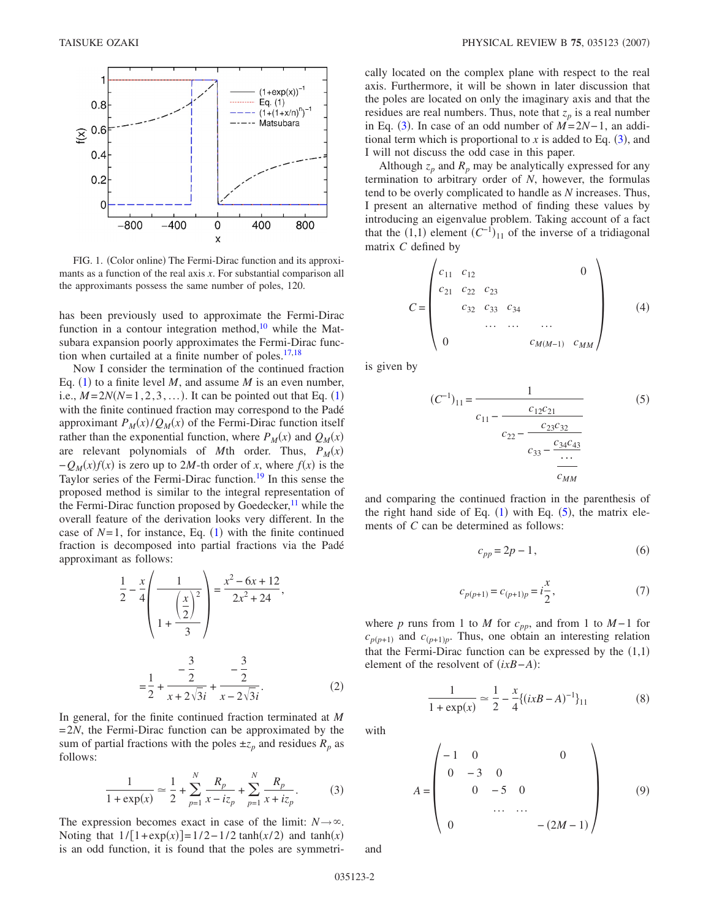<span id="page-1-0"></span>

FIG. 1. (Color online) The Fermi-Dirac function and its approximants as a function of the real axis *x*. For substantial comparison all the approximants possess the same number of poles, 120.

has been previously used to approximate the Fermi-Dirac function in a contour integration method, $10$  while the Matsubara expansion poorly approximates the Fermi-Dirac function when curtailed at a finite number of poles. $17,18$  $17,18$ 

Now I consider the termination of the continued fraction Eq.  $(1)$  $(1)$  $(1)$  to a finite level *M*, and assume *M* is an even number, i.e.,  $M = 2N(N=1, 2, 3, ...)$  $M = 2N(N=1, 2, 3, ...)$  $M = 2N(N=1, 2, 3, ...)$ . It can be pointed out that Eq. (1) with the finite continued fraction may correspond to the Padé approximant  $P_M(x)/Q_M(x)$  of the Fermi-Dirac function itself rather than the exponential function, where  $P_M(x)$  and  $Q_M(x)$ are relevant polynomials of *M*th order. Thus,  $P_M(x)$  $-Q_M(x)f(x)$  is zero up to 2*M*-th order of *x*, where  $f(x)$  is the Taylor series of the Fermi-Dirac function.<sup>19</sup> In this sense the proposed method is similar to the integral representation of the Fermi-Dirac function proposed by Goedecker, $\frac{11}{11}$  while the overall feature of the derivation looks very different. In the case of  $N=1$  $N=1$ , for instance, Eq.  $(1)$  with the finite continued fraction is decomposed into partial fractions via the Padé approximant as follows:

$$
\frac{1}{2} - \frac{x}{4} \left( \frac{1}{\frac{x}{2}} \right)^2 = \frac{x^2 - 6x + 12}{2x^2 + 24},
$$
  

$$
1 + \frac{x}{3} \left( \frac{3}{2} \right)^2 = \frac{3}{2} - \frac{3}{2}
$$
  

$$
= \frac{1}{2} + \frac{2}{x + 2\sqrt{3}i} + \frac{3}{x - 2\sqrt{3}i}.
$$
 (2)

In general, for the finite continued fraction terminated at *M* =2*N*, the Fermi-Dirac function can be approximated by the sum of partial fractions with the poles  $\pm z_p$  and residues  $R_p$  as follows:

$$
\frac{1}{1 + \exp(x)} \simeq \frac{1}{2} + \sum_{p=1}^{N} \frac{R_p}{x - iz_p} + \sum_{p=1}^{N} \frac{R_p}{x + iz_p}.
$$
 (3)

<span id="page-1-1"></span>The expression becomes exact in case of the limit:  $N \rightarrow \infty$ . Noting that  $1/[1 + \exp(x)] = 1/2 - 1/2 \tanh(x/2)$  and  $\tanh(x)$ is an odd function, it is found that the poles are symmetrically located on the complex plane with respect to the real axis. Furthermore, it will be shown in later discussion that the poles are located on only the imaginary axis and that the residues are real numbers. Thus, note that  $z_p$  is a real number in Eq. ([3](#page-1-1)). In case of an odd number of  $M=2N-1$ , an additional term which is proportional to  $x$  is added to Eq.  $(3)$  $(3)$  $(3)$ , and I will not discuss the odd case in this paper.

Although  $z_p$  and  $R_p$  may be analytically expressed for any termination to arbitrary order of *N*, however, the formulas tend to be overly complicated to handle as *N* increases. Thus, I present an alternative method of finding these values by introducing an eigenvalue problem. Taking account of a fact that the  $(1,1)$  element  $(C^{-1})_{11}$  of the inverse of a tridiagonal matrix *C* defined by

$$
C = \begin{pmatrix} c_{11} & c_{12} & & & & 0 \\ c_{21} & c_{22} & c_{23} & & & \\ & c_{32} & c_{33} & c_{34} & & \\ & & \cdots & \cdots & \cdots & \\ 0 & & & c_{M(M-1)} & c_{MM} \end{pmatrix}
$$
 (4)

<span id="page-1-2"></span>is given by

$$
(C^{-1})_{11} = \frac{1}{c_{11} - \frac{c_{12}c_{21}}{c_{22} - \frac{c_{23}c_{32}}{c_{33} - \frac{c_{34}c_{43}}{c_{MM}}}}
$$
(5)

and comparing the continued fraction in the parenthesis of the right hand side of Eq.  $(1)$  $(1)$  $(1)$  with Eq.  $(5)$  $(5)$  $(5)$ , the matrix elements of *C* can be determined as follows:

$$
c_{pp} = 2p - 1,\t\t(6)
$$

$$
c_{p(p+1)} = c_{(p+1)p} = i\frac{x}{2},\tag{7}
$$

where *p* runs from 1 to *M* for  $c_{pp}$ , and from 1 to *M* − 1 for  $c_{p(p+1)}$  and  $c_{(p+1)p}$ . Thus, one obtain an interesting relation that the Fermi-Dirac function can be expressed by the  $(1,1)$ element of the resolvent of *(ixB* − *A*):

$$
\frac{1}{1 + \exp(x)} \simeq \frac{1}{2} - \frac{x}{4} \{ (ixB - A)^{-1} \}_{11}
$$
 (8)

<span id="page-1-3"></span>with

$$
A = \begin{pmatrix} -1 & 0 & & & & 0 \\ 0 & -3 & 0 & & & \\ & 0 & -5 & 0 & & \\ & & \dots & \dots & & \\ 0 & & & & - (2M-1) \end{pmatrix}
$$
 (9)

and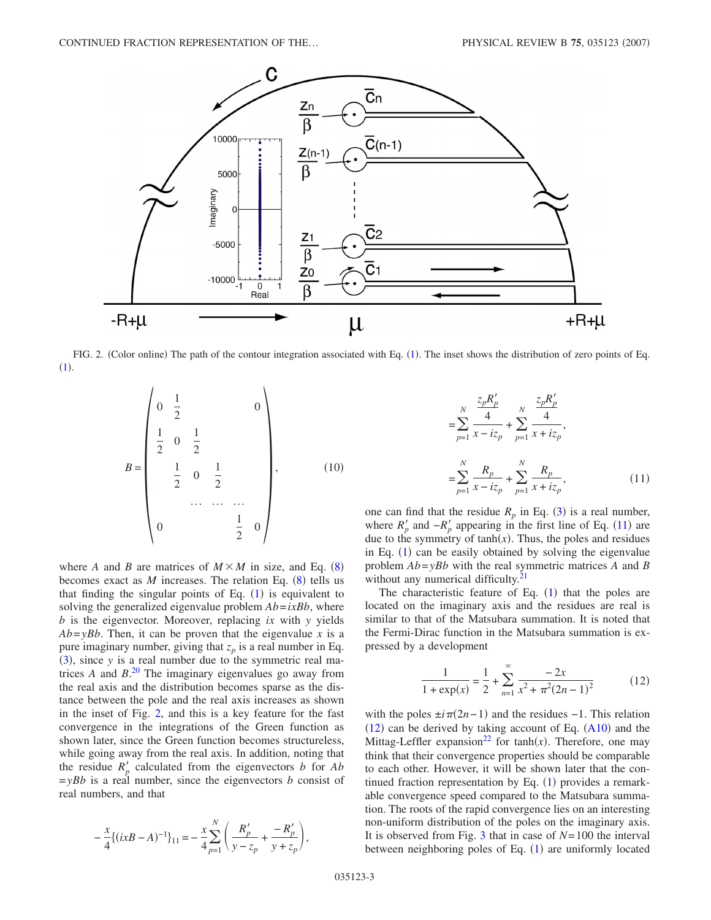<span id="page-2-0"></span>

FIG. 2. (Color online) The path of the contour integration associated with Eq. ([1](#page-0-0)). The inset shows the distribution of zero points of Eq.  $(1).$  $(1).$  $(1).$ 

$$
B = \begin{pmatrix} 0 & \frac{1}{2} & & & & 0 \\ \frac{1}{2} & 0 & \frac{1}{2} & & & \\ & \frac{1}{2} & 0 & \frac{1}{2} & & \\ & & \cdots & \cdots & \cdots & \\ 0 & & & & \frac{1}{2} & 0 \end{pmatrix}, \qquad (10)
$$

where *A* and *B* are matrices of  $M \times M$  in size, and Eq. ([8](#page-1-3)) becomes exact as  $M$  increases. The relation Eq.  $(8)$  $(8)$  $(8)$  tells us that finding the singular points of Eq.  $(1)$  $(1)$  $(1)$  is equivalent to solving the generalized eigenvalue problem  $Ab = ixBb$ , where *b* is the eigenvector. Moreover, replacing *ix* with *y* yields  $Ab = yBb$ . Then, it can be proven that the eigenvalue *x* is a pure imaginary number, giving that  $z_p$  is a real number in Eq. ([3](#page-1-1)), since *y* is a real number due to the symmetric real matrices *A* and *B*. [20](#page-8-1) The imaginary eigenvalues go away from the real axis and the distribution becomes sparse as the distance between the pole and the real axis increases as shown in the inset of Fig. [2,](#page-2-0) and this is a key feature for the fast convergence in the integrations of the Green function as shown later, since the Green function becomes structureless, while going away from the real axis. In addition, noting that the residue  $R_p'$  calculated from the eigenvectors *b* for *Ab* =*yBb* is a real number, since the eigenvectors *b* consist of real numbers, and that

<span id="page-2-1"></span>
$$
-\frac{x}{4}\{(ixB-A)^{-1}\}_{11} = -\frac{x}{4}\sum_{p=1}^{N}\left(\frac{R'_{p}}{y-z_{p}} + \frac{-R'_{p}}{y+z_{p}}\right),\,
$$

$$
\sum_{p=1}^{N} \frac{\frac{z_p R'_p}{4}}{x - iz_p} + \sum_{p=1}^{N} \frac{\frac{z_p R'_p}{4}}{x + iz_p},
$$

$$
= \sum_{p=1}^{N} \frac{R_p}{x - iz_p} + \sum_{p=1}^{N} \frac{R_p}{x + iz_p},
$$
(11)

one can find that the residue  $R_p$  in Eq. ([3](#page-1-1)) is a real number, where  $R'_p$  and  $-R'_p$  appearing in the first line of Eq. ([11](#page-2-1)) are due to the symmetry of  $tanh(x)$ . Thus, the poles and residues in Eq.  $(1)$  $(1)$  $(1)$  can be easily obtained by solving the eigenvalue problem *Ab*=*yBb* with the real symmetric matrices *A* and *B* without any numerical difficulty.<sup>21</sup>

The characteristic feature of Eq.  $(1)$  $(1)$  $(1)$  that the poles are located on the imaginary axis and the residues are real is similar to that of the Matsubara summation. It is noted that the Fermi-Dirac function in the Matsubara summation is expressed by a development

$$
\frac{1}{1 + \exp(x)} = \frac{1}{2} + \sum_{n=1}^{\infty} \frac{-2x}{x^2 + \pi^2 (2n - 1)^2}
$$
(12)

<span id="page-2-2"></span>with the poles  $\pm i\pi(2n-1)$  and the residues  $-1$ . This relation  $(12)$  $(12)$  $(12)$  can be derived by taking account of Eq.  $(A10)$  $(A10)$  $(A10)$  and the Mittag-Leffler expansion<sup>22</sup> for tanh $(x)$ . Therefore, one may think that their convergence properties should be comparable to each other. However, it will be shown later that the continued fraction representation by Eq.  $(1)$  $(1)$  $(1)$  provides a remarkable convergence speed compared to the Matsubara summation. The roots of the rapid convergence lies on an interesting non-uniform distribution of the poles on the imaginary axis. It is observed from Fig. [3](#page-3-0) that in case of *N*=100 the interval between neighboring poles of Eq.  $(1)$  $(1)$  $(1)$  are uniformly located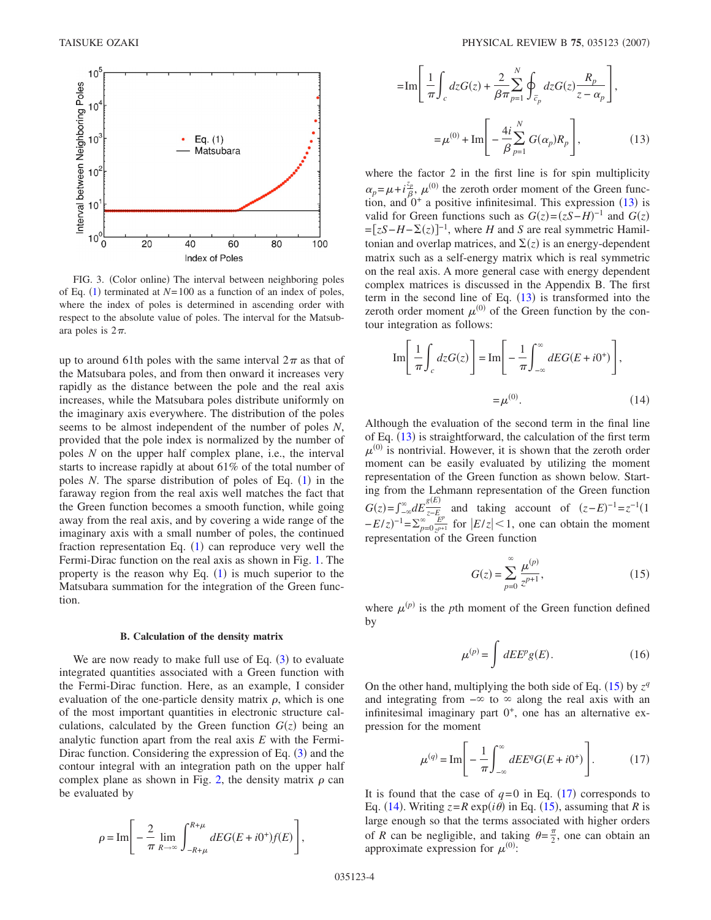<span id="page-3-0"></span>

FIG. 3. (Color online) The interval between neighboring poles of Eq.  $(1)$  $(1)$  $(1)$  terminated at  $N=100$  as a function of an index of poles, where the index of poles is determined in ascending order with respect to the absolute value of poles. The interval for the Matsubara poles is  $2\pi$ .

up to around 61th poles with the same interval  $2\pi$  as that of the Matsubara poles, and from then onward it increases very rapidly as the distance between the pole and the real axis increases, while the Matsubara poles distribute uniformly on the imaginary axis everywhere. The distribution of the poles seems to be almost independent of the number of poles *N*, provided that the pole index is normalized by the number of poles *N* on the upper half complex plane, i.e., the interval starts to increase rapidly at about 61% of the total number of poles  $N$ . The sparse distribution of poles of Eq.  $(1)$  $(1)$  $(1)$  in the faraway region from the real axis well matches the fact that the Green function becomes a smooth function, while going away from the real axis, and by covering a wide range of the imaginary axis with a small number of poles, the continued fraction representation Eq.  $(1)$  $(1)$  $(1)$  can reproduce very well the Fermi-Dirac function on the real axis as shown in Fig. [1.](#page-1-0) The property is the reason why Eq.  $(1)$  $(1)$  $(1)$  is much superior to the Matsubara summation for the integration of the Green function.

#### **B. Calculation of the density matrix**

We are now ready to make full use of Eq.  $(3)$  $(3)$  $(3)$  to evaluate integrated quantities associated with a Green function with the Fermi-Dirac function. Here, as an example, I consider evaluation of the one-particle density matrix  $\rho$ , which is one of the most important quantities in electronic structure calculations, calculated by the Green function  $G(z)$  being an analytic function apart from the real axis *E* with the Fermi-Dirac function. Considering the expression of Eq.  $(3)$  $(3)$  $(3)$  and the contour integral with an integration path on the upper half complex plane as shown in Fig. [2,](#page-2-0) the density matrix  $\rho$  can be evaluated by

<span id="page-3-1"></span>
$$
\rho = \operatorname{Im} \left[ -\frac{2}{\pi} \lim_{R \to \infty} \int_{-R+\mu}^{R+\mu} dE G(E + i0^+) f(E) \right],
$$

$$
= \operatorname{Im}\left[\frac{1}{\pi}\int_{c} dz G(z) + \frac{2}{\beta \pi} \sum_{p=1}^{N} \oint_{\overline{c}_{p}} dz G(z) \frac{R_{p}}{z - \alpha_{p}}\right],
$$
  

$$
= \mu^{(0)} + \operatorname{Im}\left[-\frac{4i}{\beta} \sum_{p=1}^{N} G(\alpha_{p}) R_{p}\right],
$$
 (13)

where the factor 2 in the first line is for spin multiplicity  $\alpha_p = \mu + i \frac{\zeta_p}{\beta}, \mu^{(0)}$  the zeroth order moment of the Green function, and  $0^+$  a positive infinitesimal. This expression ([13](#page-3-1)) is valid for Green functions such as  $G(z) = (zS - H)^{-1}$  and  $G(z)$  $=[zS-H-\Sigma(z)]^{-1}$ , where *H* and *S* are real symmetric Hamiltonian and overlap matrices, and  $\Sigma(z)$  is an energy-dependent matrix such as a self-energy matrix which is real symmetric on the real axis. A more general case with energy dependent complex matrices is discussed in the Appendix B. The first term in the second line of Eq.  $(13)$  $(13)$  $(13)$  is transformed into the zeroth order moment  $\mu^{(0)}$  of the Green function by the contour integration as follows:

<span id="page-3-4"></span>
$$
\text{Im}\left[\frac{1}{\pi}\int_{c} dz G(z)\right] = \text{Im}\left[-\frac{1}{\pi}\int_{-\infty}^{\infty} dE G(E + i0^{+})\right],
$$

$$
= \mu^{(0)}.
$$
 (14)

Although the evaluation of the second term in the final line of Eq. ([13](#page-3-1)) is straightforward, the calculation of the first term  $\mu^{(0)}$  is nontrivial. However, it is shown that the zeroth order moment can be easily evaluated by utilizing the moment representation of the Green function as shown below. Starting from the Lehmann representation of the Green function  $G(z) = \int_{-\infty}^{\infty} dE \frac{g(E)}{z-E}$  and taking account of  $(z-E)^{-1} = z^{-1}(1)$  $-E/\overline{z}$ <sup>-1</sup> =  $\sum_{p=0}^{\infty} \frac{E^p}{z^{p+1}}$  for  $|E/\overline{z}|$  < 1, one can obtain the moment representation of the Green function

$$
G(z) = \sum_{p=0}^{\infty} \frac{\mu^{(p)}}{z^{p+1}},
$$
\n(15)

<span id="page-3-2"></span>where  $\mu^{(p)}$  is the *p*th moment of the Green function defined by

$$
\mu^{(p)} = \int dE E^p g(E). \tag{16}
$$

On the other hand, multiplying the both side of Eq.  $(15)$  $(15)$  $(15)$  by  $z<sup>q</sup>$ and integrating from  $-\infty$  to  $\infty$  along the real axis with an infinitesimal imaginary part  $0^+$ , one has an alternative expression for the moment

$$
\mu^{(q)} = \text{Im}\left[-\frac{1}{\pi}\int_{-\infty}^{\infty} dE E^{q} G(E + i0^{+})\right].
$$
 (17)

<span id="page-3-3"></span>It is found that the case of  $q=0$  in Eq. ([17](#page-3-3)) corresponds to Eq. ([14](#page-3-4)). Writing  $z=R \exp(i\theta)$  in Eq. ([15](#page-3-2)), assuming that *R* is large enough so that the terms associated with higher orders of *R* can be negligible, and taking  $\theta = \frac{\pi}{2}$ , one can obtain an approximate expression for  $\mu^{(0)}$ :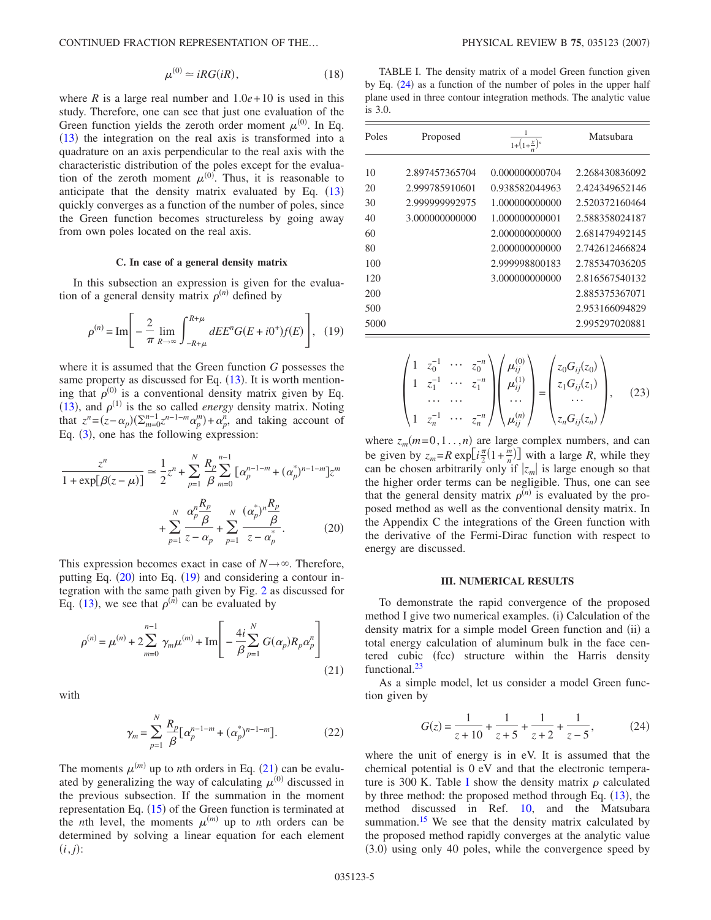$$
\mu^{(0)} \simeq iRG(iR),\tag{18}
$$

where *R* is a large real number and  $1.0e+10$  is used in this study. Therefore, one can see that just one evaluation of the Green function yields the zeroth order moment  $\mu^{(0)}$ . In Eq.  $(13)$  $(13)$  $(13)$  the integration on the real axis is transformed into a quadrature on an axis perpendicular to the real axis with the characteristic distribution of the poles except for the evaluation of the zeroth moment  $\mu^{(0)}$ . Thus, it is reasonable to anticipate that the density matrix evaluated by Eq.  $(13)$  $(13)$  $(13)$ quickly converges as a function of the number of poles, since the Green function becomes structureless by going away from own poles located on the real axis.

#### **C. In case of a general density matrix**

<span id="page-4-1"></span>In this subsection an expression is given for the evaluation of a general density matrix  $\rho^{(n)}$  defined by

$$
\rho^{(n)} = \text{Im}\left[-\frac{2}{\pi} \lim_{R \to \infty} \int_{-R+\mu}^{R+\mu} dE E^{n} G(E + i0^{+}) f(E)\right], \quad (19)
$$

where it is assumed that the Green function *G* possesses the same property as discussed for Eq.  $(13)$  $(13)$  $(13)$ . It is worth mentioning that  $\rho^{(0)}$  is a conventional density matrix given by Eq.  $(13)$  $(13)$  $(13)$ , and  $\rho^{(1)}$  is the so called *energy* density matrix. Noting that  $z^n = (z - \alpha_p)(\sum_{m=0}^{n-1} z^{n-1-m} \alpha_p^m) + \alpha_p^n$ , and taking account of Eq.  $(3)$  $(3)$  $(3)$ , one has the following expression:

<span id="page-4-0"></span>
$$
\frac{z^{n}}{1 + \exp[\beta(z - \mu)]} \simeq \frac{1}{2}z^{n} + \sum_{p=1}^{N} \frac{R_{p}}{\beta} \sum_{m=0}^{n-1} [\alpha_{p}^{n-1-m} + (\alpha_{p}^{*})^{n-1-m}]z^{m}
$$

$$
+ \sum_{p=1}^{N} \frac{\alpha_{p}^{n} \frac{R_{p}}{\beta}}{z - \alpha_{p}} + \sum_{p=1}^{N} \frac{(\alpha_{p}^{*})^{n} \frac{R_{p}}{\beta}}{z - \alpha_{p}^{*}}.
$$
(20)

This expression becomes exact in case of  $N \rightarrow \infty$ . Therefore, putting Eq.  $(20)$  $(20)$  $(20)$  into Eq.  $(19)$  $(19)$  $(19)$  and considering a contour integration with the same path given by Fig. [2](#page-2-0) as discussed for Eq. ([13](#page-3-1)), we see that  $\rho^{(n)}$  can be evaluated by

<span id="page-4-2"></span>
$$
\rho^{(n)} = \mu^{(n)} + 2 \sum_{m=0}^{n-1} \gamma_m \mu^{(m)} + \text{Im} \left[ -\frac{4i}{\beta} \sum_{p=1}^{N} G(\alpha_p) R_p \alpha_p^n \right]
$$
\n(21)

with

$$
\gamma_m = \sum_{p=1}^N \frac{R_p}{\beta} \big[ \alpha_p^{n-1-m} + (\alpha_p^*)^{n-1-m} \big].
$$
 (22)

The moments  $\mu^{(m)}$  up to *n*th orders in Eq. ([21](#page-4-2)) can be evaluated by generalizing the way of calculating  $\mu^{(0)}$  discussed in the previous subsection. If the summation in the moment representation Eq.  $(15)$  $(15)$  $(15)$  of the Green function is terminated at the *n*th level, the moments  $\mu^{(m)}$  up to *n*th orders can be determined by solving a linear equation for each element  $(i, j)$ :

<span id="page-4-3"></span>TABLE I. The density matrix of a model Green function given by Eq.  $(24)$  $(24)$  $(24)$  as a function of the number of poles in the upper half plane used in three contour integration methods. The analytic value is 3.0.

| Poles                                          | Proposed                                                             | $1 + (1 + \frac{x}{2})^n$                                                                                                                    | Matsubara                                                                                                                                    |
|------------------------------------------------|----------------------------------------------------------------------|----------------------------------------------------------------------------------------------------------------------------------------------|----------------------------------------------------------------------------------------------------------------------------------------------|
| 10<br>20<br>30<br>40<br>60<br>80<br>100<br>120 | 2.897457365704<br>2.999785910601<br>2.999999992975<br>3.000000000000 | 0.000000000704<br>0.938582044963<br>1.000000000000<br>1.000000000001<br>2.000000000000<br>2.000000000000<br>2.999998800183<br>3.000000000000 | 2.268430836092<br>2.424349652146<br>2.520372160464<br>2.588358024187<br>2.681479492145<br>2.742612466824<br>2.785347036205<br>2.816567540132 |
| 200                                            |                                                                      |                                                                                                                                              | 2.885375367071                                                                                                                               |
|                                                |                                                                      |                                                                                                                                              |                                                                                                                                              |
| 500<br>5000                                    |                                                                      |                                                                                                                                              | 2.953166094829<br>2.995297020881                                                                                                             |

$$
\begin{pmatrix} 1 & z_0^{-1} & \cdots & z_0^{-n} \\ 1 & z_1^{-1} & \cdots & z_1^{-n} \\ \cdots & \cdots & \cdots \\ 1 & z_n^{-1} & \cdots & z_n^{-n} \end{pmatrix} \begin{pmatrix} \mu_{ij}^{(0)} \\ \mu_{ij}^{(1)} \\ \cdots \\ \mu_{ij}^{(n)} \end{pmatrix} = \begin{pmatrix} z_0 G_{ij}(z_0) \\ z_1 G_{ij}(z_1) \\ \cdots \\ z_n G_{ij}(z_n) \end{pmatrix}, \quad (23)
$$

where  $z_m(m=0,1...,n)$  are large complex numbers, and can be given by  $z_m = R \exp\left[i\frac{\pi}{2}(1+\frac{m}{n})\right]$  with a large *R*, while they can be chosen arbitrarily only if  $|z_m|$  is large enough so that the higher order terms can be negligible. Thus, one can see that the general density matrix  $\rho^{(n)}$  is evaluated by the proposed method as well as the conventional density matrix. In the Appendix C the integrations of the Green function with the derivative of the Fermi-Dirac function with respect to energy are discussed.

#### **III. NUMERICAL RESULTS**

To demonstrate the rapid convergence of the proposed method I give two numerical examples. (i) Calculation of the density matrix for a simple model Green function and (ii) a total energy calculation of aluminum bulk in the face centered cubic (fcc) structure within the Harris density functional.<sup>23</sup>

<span id="page-4-4"></span>As a simple model, let us consider a model Green function given by

$$
G(z) = \frac{1}{z+10} + \frac{1}{z+5} + \frac{1}{z+2} + \frac{1}{z-5},
$$
 (24)

where the unit of energy is in eV. It is assumed that the chemical potential is 0 eV and that the electronic tempera-ture is 300 K. Table [I](#page-4-3) show the density matrix  $\rho$  calculated by three method: the proposed method through Eq. ([13](#page-3-1)), the method discussed in Ref. [10,](#page-7-10) and the Matsubara summation.<sup>15</sup> We see that the density matrix calculated by the proposed method rapidly converges at the analytic value (3.0) using only 40 poles, while the convergence speed by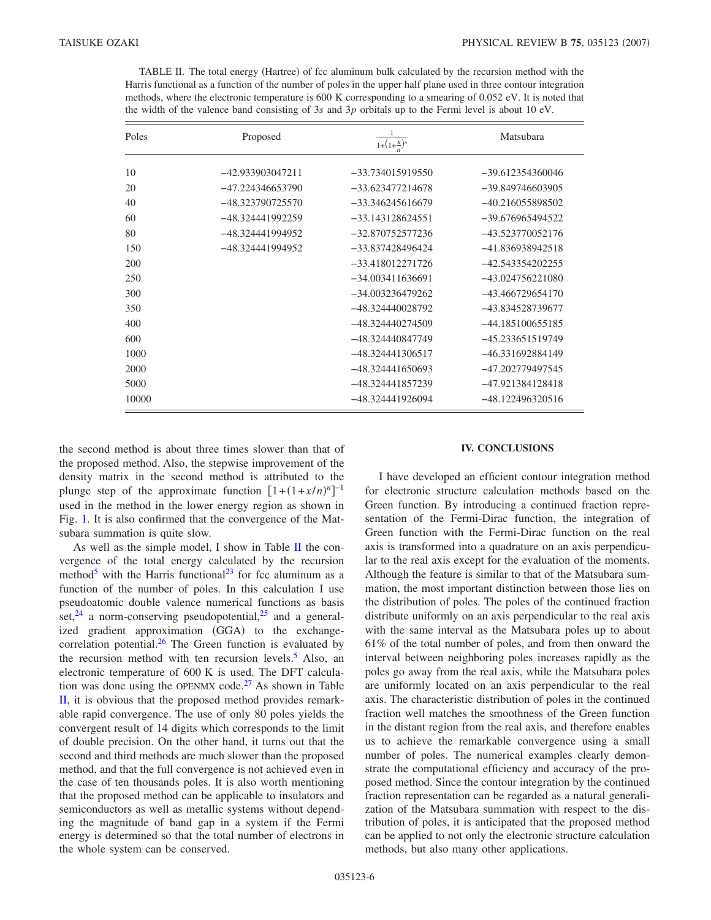<span id="page-5-0"></span>TABLE II. The total energy (Hartree) of fcc aluminum bulk calculated by the recursion method with the Harris functional as a function of the number of poles in the upper half plane used in three contour integration methods, where the electronic temperature is 600 K corresponding to a smearing of 0.052 eV. It is noted that the width of the valence band consisting of 3*s* and 3*p* orbitals up to the Fermi level is about 10 eV.

| Poles | Proposed           | $\frac{1}{1 + \left(1 + \frac{x}{n}\right)^n}$ | Matsubara          |
|-------|--------------------|------------------------------------------------|--------------------|
| 10    | -42.933903047211   | $-33.734015919550$                             | $-39.612354360046$ |
| 20    | $-47.224346653790$ | $-33.623477214678$                             | $-39.849746603905$ |
| 40    | -48.323790725570   | $-33.346245616679$                             | $-40.216055898502$ |
| 60    | -48.324441992259   | $-33.143128624551$                             | $-39.676965494522$ |
| 80    | -48.324441994952   | -32.870752577236                               | -43.523770052176   |
| 150   | $-48.324441994952$ | $-33.837428496424$                             | $-41.836938942518$ |
| 200   |                    | $-33.418012271726$                             | $-42.543354202255$ |
| 250   |                    | $-34.003411636691$                             | $-43.024756221080$ |
| 300   |                    | $-34.003236479262$                             | $-43.466729654170$ |
| 350   |                    | -48.324440028792                               | -43.834528739677   |
| 400   |                    | -48.324440274509                               | $-44.185100655185$ |
| 600   |                    | -48.324440847749                               | $-45.233651519749$ |
| 1000  |                    | $-48.324441306517$                             | $-46.331692884149$ |
| 2000  |                    | $-48.324441650693$                             | -47.202779497545   |
| 5000  |                    | $-48.324441857239$                             | $-47.921384128418$ |
| 10000 |                    | -48.324441926094                               | -48.122496320516   |

the second method is about three times slower than that of the proposed method. Also, the stepwise improvement of the density matrix in the second method is attributed to the plunge step of the approximate function  $[1+(1+x/n)^n]^{-1}$ used in the method in the lower energy region as shown in Fig. [1.](#page-1-0) It is also confirmed that the convergence of the Matsubara summation is quite slow.

As well as the simple model, I show in Table [II](#page-5-0) the convergence of the total energy calculated by the recursion method<sup>5</sup> with the Harris functional<sup>23</sup> for fcc aluminum as a function of the number of poles. In this calculation I use pseudoatomic double valence numerical functions as basis set,  $24$  a norm-conserving pseudopotential,  $25$  and a generalized gradient approximation (GGA) to the exchangecorrelation potential. $26$  The Green function is evaluated by the recursion method with ten recursion levels.<sup>5</sup> Also, an electronic temperature of 600 K is used. The DFT calculation was done using the OPENMX code.<sup>27</sup> As shown in Table [II,](#page-5-0) it is obvious that the proposed method provides remarkable rapid convergence. The use of only 80 poles yields the convergent result of 14 digits which corresponds to the limit of double precision. On the other hand, it turns out that the second and third methods are much slower than the proposed method, and that the full convergence is not achieved even in the case of ten thousands poles. It is also worth mentioning that the proposed method can be applicable to insulators and semiconductors as well as metallic systems without depending the magnitude of band gap in a system if the Fermi energy is determined so that the total number of electrons in the whole system can be conserved.

# **IV. CONCLUSIONS**

I have developed an efficient contour integration method for electronic structure calculation methods based on the Green function. By introducing a continued fraction representation of the Fermi-Dirac function, the integration of Green function with the Fermi-Dirac function on the real axis is transformed into a quadrature on an axis perpendicular to the real axis except for the evaluation of the moments. Although the feature is similar to that of the Matsubara summation, the most important distinction between those lies on the distribution of poles. The poles of the continued fraction distribute uniformly on an axis perpendicular to the real axis with the same interval as the Matsubara poles up to about 61% of the total number of poles, and from then onward the interval between neighboring poles increases rapidly as the poles go away from the real axis, while the Matsubara poles are uniformly located on an axis perpendicular to the real axis. The characteristic distribution of poles in the continued fraction well matches the smoothness of the Green function in the distant region from the real axis, and therefore enables us to achieve the remarkable convergence using a small number of poles. The numerical examples clearly demonstrate the computational efficiency and accuracy of the proposed method. Since the contour integration by the continued fraction representation can be regarded as a natural generalization of the Matsubara summation with respect to the distribution of poles, it is anticipated that the proposed method can be applied to not only the electronic structure calculation methods, but also many other applications.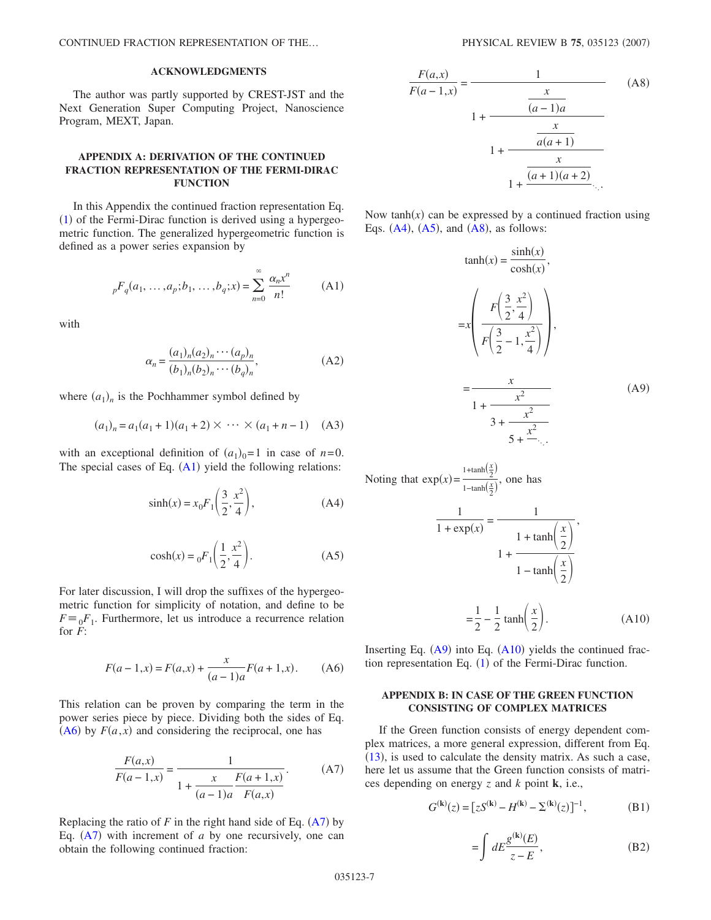### **ACKNOWLEDGMENTS**

The author was partly supported by CREST-JST and the Next Generation Super Computing Project, Nanoscience Program, MEXT, Japan.

# **APPENDIX A: DERIVATION OF THE CONTINUED FRACTION REPRESENTATION OF THE FERMI-DIRAC FUNCTION**

In this Appendix the continued fraction representation Eq. ([1](#page-0-0)) of the Fermi-Dirac function is derived using a hypergeometric function. The generalized hypergeometric function is defined as a power series expansion by

$$
{}_{p}F_{q}(a_{1},...,a_{p};b_{1},...,b_{q};x) = \sum_{n=0}^{\infty} \frac{\alpha_{n}x^{n}}{n!}
$$
 (A1)

<span id="page-6-1"></span>with

$$
\alpha_n = \frac{(a_1)_n (a_2)_n \cdots (a_p)_n}{(b_1)_n (b_2)_n \cdots (b_q)_n},
$$
\n(A2)

where  $(a_1)_n$  is the Pochhammer symbol defined by

$$
(a_1)_n = a_1(a_1 + 1)(a_1 + 2) \times \cdots \times (a_1 + n - 1) \quad \text{(A3)}
$$

<span id="page-6-4"></span>with an exceptional definition of  $(a_1)_0 = 1$  in case of  $n = 0$ . The special cases of Eq.  $(A1)$  $(A1)$  $(A1)$  yield the following relations:

$$
\sinh(x) = x_0 F_1\left(\frac{3}{2}, \frac{x^2}{4}\right),
$$
 (A4)

$$
\cosh(x) = {}_0F_1\left(\frac{1}{2}, \frac{x^2}{4}\right). \tag{A5}
$$

<span id="page-6-5"></span>For later discussion, I will drop the suffixes of the hypergeometric function for simplicity of notation, and define to be  $F \equiv {}_0F_1$ . Furthermore, let us introduce a recurrence relation for *F*:

$$
F(a-1,x) = F(a,x) + \frac{x}{(a-1)a}F(a+1,x).
$$
 (A6)

<span id="page-6-3"></span><span id="page-6-2"></span>This relation can be proven by comparing the term in the power series piece by piece. Dividing both the sides of Eq.  $(A6)$  $(A6)$  $(A6)$  by  $F(a,x)$  and considering the reciprocal, one has

$$
\frac{F(a,x)}{F(a-1,x)} = \frac{1}{1 + \frac{x}{(a-1)a} \frac{F(a+1,x)}{F(a,x)}}.
$$
 (A7)

Replacing the ratio of  $F$  in the right hand side of Eq.  $(A7)$  $(A7)$  $(A7)$  by Eq.  $(A7)$  $(A7)$  $(A7)$  with increment of *a* by one recursively, one can obtain the following continued fraction:

<span id="page-6-6"></span>
$$
\frac{F(a,x)}{F(a-1,x)} = \frac{1}{\frac{x}{(a-1)a}}
$$
(A8)  
1 + 
$$
\frac{\frac{x}{a(a+1)}}{1 + \frac{x}{(a+1)(a+2)}}
$$

 $\cdot$  sinhark<sub> $\cdot$ </sub>

<span id="page-6-7"></span>Now  $tanh(x)$  can be expressed by a continued fraction using Eqs.  $(A4)$  $(A4)$  $(A4)$ ,  $(A5)$  $(A5)$  $(A5)$ , and  $(A8)$  $(A8)$  $(A8)$ , as follows:

$$
\tanh(x) = \frac{\sinh(x)}{\cosh(x)},
$$
  
\n
$$
= x \left( \frac{F\left(\frac{3}{2}, \frac{x^2}{4}\right)}{F\left(\frac{3}{2} - 1, \frac{x^2}{4}\right)} \right),
$$
  
\n
$$
= \frac{x}{1 + \frac{x^2}{3 + \frac{x^2}{5 + \frac{x^2}{4 + \dots}}}}
$$
(A9)

<span id="page-6-0"></span>Noting that  $exp(x) =$  $\frac{1+\tanh(\frac{x}{2})}{1-\tanh(\frac{x}{2})}$ , one has

$$
\frac{1}{1 + \exp(x)} = \frac{1}{1 + \tanh\left(\frac{x}{2}\right)},
$$
  

$$
1 + \frac{1}{1 - \tanh\left(\frac{x}{2}\right)}
$$

$$
=\frac{1}{2} - \frac{1}{2} \tanh\left(\frac{x}{2}\right). \tag{A10}
$$

Inserting Eq.  $(A9)$  $(A9)$  $(A9)$  into Eq.  $(A10)$  $(A10)$  $(A10)$  yields the continued fraction representation Eq.  $(1)$  $(1)$  $(1)$  of the Fermi-Dirac function.

# **APPENDIX B: IN CASE OF THE GREEN FUNCTION CONSISTING OF COMPLEX MATRICES**

If the Green function consists of energy dependent complex matrices, a more general expression, different from Eq.  $(13)$  $(13)$  $(13)$ , is used to calculate the density matrix. As such a case, here let us assume that the Green function consists of matrices depending on energy *z* and *k* point **k**, i.e.,

<span id="page-6-8"></span>
$$
G^{(k)}(z) = [zS^{(k)} - H^{(k)} - \Sigma^{(k)}(z)]^{-1},
$$
 (B1)

$$
= \int dE \frac{g^{(k)}(E)}{z - E},
$$
 (B2)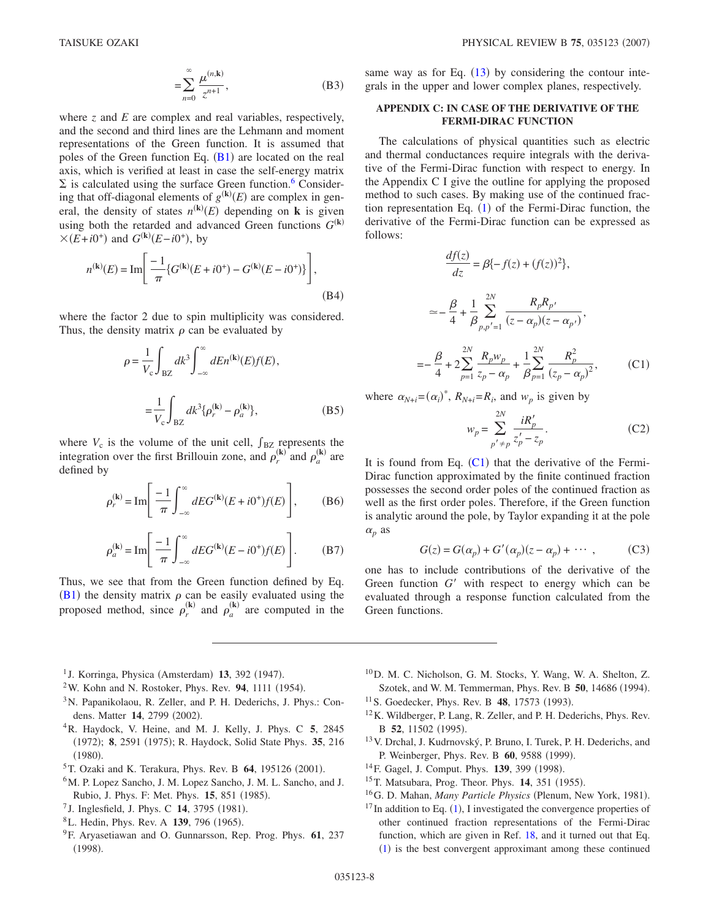$$
=\sum_{n=0}^{\infty}\frac{\mu^{(n,\mathbf{k})}}{z^{n+1}},\tag{B3}
$$

where  $\zeta$  and  $\zeta$  are complex and real variables, respectively, and the second and third lines are the Lehmann and moment representations of the Green function. It is assumed that poles of the Green function Eq.  $(B1)$  $(B1)$  $(B1)$  are located on the real axis, which is verified at least in case the self-energy matrix  $\Sigma$  is calculated using the surface Green function.<sup>6</sup> Considering that off-diagonal elements of  $g^{(k)}(E)$  are complex in general, the density of states  $n^{(k)}(E)$  depending on **k** is given using both the retarded and advanced Green functions *G***k**-  $\times$ ( $E + i0^+$ ) and  $G^{(k)}$ ( $E - i0^+$ ), by

$$
n^{(k)}(E) = \text{Im}\left[\frac{-1}{\pi} \{G^{(k)}(E+i0^+) - G^{(k)}(E-i0^+)\}\right],\tag{B4}
$$

where the factor 2 due to spin multiplicity was considered. Thus, the density matrix  $\rho$  can be evaluated by

$$
\rho = \frac{1}{V_c} \int_{BZ} dk^3 \int_{-\infty}^{\infty} dE n^{(k)}(E) f(E),
$$
  
=  $\frac{1}{V_c} \int_{BZ} dk^3 {\rho_r^{(k)} - \rho_a^{(k)}}$ , (B5)

where  $V_c$  is the volume of the unit cell,  $\int_{BZ}$  represents the integration over the first Brillouin zone, and  $\rho_r^{(k)}$  and  $\rho_a^{(k)}$  are defined by

$$
\rho_r^{(\mathbf{k})} = \operatorname{Im} \left[ \frac{-1}{\pi} \int_{-\infty}^{\infty} dE G^{(\mathbf{k})} (E + i0^+) f(E) \right], \tag{B6}
$$

$$
\rho_a^{(\mathbf{k})} = \operatorname{Im} \left[ \frac{-1}{\pi} \int_{-\infty}^{\infty} dE G^{(\mathbf{k})} (E - i0^+) f(E) \right].
$$
 (B7)

Thus, we see that from the Green function defined by Eq.  $(B1)$  $(B1)$  $(B1)$  the density matrix  $\rho$  can be easily evaluated using the proposed method, since  $\rho_r^{(k)}$  and  $\rho_a^{(k)}$  are computed in the

same way as for Eq.  $(13)$  $(13)$  $(13)$  by considering the contour integrals in the upper and lower complex planes, respectively.

# **APPENDIX C: IN CASE OF THE DERIVATIVE OF THE FERMI-DIRAC FUNCTION**

The calculations of physical quantities such as electric and thermal conductances require integrals with the derivative of the Fermi-Dirac function with respect to energy. In the Appendix C I give the outline for applying the proposed method to such cases. By making use of the continued fraction representation Eq.  $(1)$  $(1)$  $(1)$  of the Fermi-Dirac function, the derivative of the Fermi-Dirac function can be expressed as follows:

<span id="page-7-14"></span>
$$
\frac{df(z)}{dz} = \beta \{-f(z) + (f(z))^2\},
$$
  

$$
\approx -\frac{\beta}{4} + \frac{1}{\beta} \sum_{p,p'=1}^{2N} \frac{R_p R_{p'}}{(z - \alpha_p)(z - \alpha_{p'})},
$$
  

$$
= -\frac{\beta}{4} + 2 \sum_{p=1}^{2N} \frac{R_p w_p}{z_p - \alpha_p} + \frac{1}{\beta} \sum_{p=1}^{2N} \frac{R_p^2}{(z_p - \alpha_p)^2},
$$
(C1)

where  $\alpha_{N+i} = (\alpha_i)^*$ ,  $R_{N+i} = R_i$ , and  $w_p$  is given by

$$
w_p = \sum_{p' \neq p}^{2N} \frac{iR'_p}{z'_p - z_p}.
$$
 (C2)

It is found from Eq.  $(C1)$  $(C1)$  $(C1)$  that the derivative of the Fermi-Dirac function approximated by the finite continued fraction possesses the second order poles of the continued fraction as well as the first order poles. Therefore, if the Green function is analytic around the pole, by Taylor expanding it at the pole  $\alpha_p$  as

$$
G(z) = G(\alpha_p) + G'(\alpha_p)(z - \alpha_p) + \cdots, \qquad (C3)
$$

one has to include contributions of the derivative of the Green function  $G'$  with respect to energy which can be evaluated through a response function calculated from the Green functions.

- <span id="page-7-0"></span><sup>1</sup> J. Korringa, Physica (Amsterdam) **13**, 392 (1947).
- <sup>2</sup>W. Kohn and N. Rostoker, Phys. Rev. 94, 1111 (1954).
- <span id="page-7-1"></span>3N. Papanikolaou, R. Zeller, and P. H. Dederichs, J. Phys.: Condens. Matter 14, 2799 (2002).
- <span id="page-7-2"></span>4R. Haydock, V. Heine, and M. J. Kelly, J. Phys. C **5**, 2845 (1972); 8, 2591 (1975); R. Haydock, Solid State Phys. 35, 216  $(1980).$
- <span id="page-7-3"></span><sup>5</sup>T. Ozaki and K. Terakura, Phys. Rev. B **64**, 195126 (2001).
- <span id="page-7-4"></span><sup>6</sup>M. P. Lopez Sancho, J. M. Lopez Sancho, J. M. L. Sancho, and J. Rubio, J. Phys. F: Met. Phys. 15, 851 (1985).
- <span id="page-7-5"></span><sup>7</sup> J. Inglesfield, J. Phys. C **14**, 3795 (1981).
- <span id="page-7-6"></span><sup>8</sup>L. Hedin, Phys. Rev. A **139**, 796 (1965).
- <span id="page-7-7"></span>9F. Aryasetiawan and O. Gunnarsson, Rep. Prog. Phys. **61**, 237  $(1998).$
- <span id="page-7-10"></span>10D. M. C. Nicholson, G. M. Stocks, Y. Wang, W. A. Shelton, Z. Szotek, and W. M. Temmerman, Phys. Rev. B 50, 14686 (1994).
- <span id="page-7-12"></span> $11$  S. Goedecker, Phys. Rev. B 48, 17573 (1993).
- <sup>12</sup>K. Wildberger, P. Lang, R. Zeller, and P. H. Dederichs, Phys. Rev. B 52, 11502 (1995).
- 13V. Drchal, J. Kudrnovský, P. Bruno, I. Turek, P. H. Dederichs, and P. Weinberger, Phys. Rev. B 60, 9588 (1999).
- <span id="page-7-11"></span><sup>14</sup> F. Gagel, J. Comput. Phys. **139**, 399 (1998).
- <span id="page-7-8"></span><sup>15</sup> T. Matsubara, Prog. Theor. Phys. **14**, 351 (1955).
- <span id="page-7-9"></span><sup>16</sup>G. D. Mahan, *Many Particle Physics* (Plenum, New York, 1981).
- <span id="page-7-13"></span> $17$  $17$  In addition to Eq. (1), I investigated the convergence properties of other continued fraction representations of the Fermi-Dirac function, which are given in Ref. [18,](#page-8-0) and it turned out that Eq. ([1](#page-0-0)) is the best convergent approximant among these continued